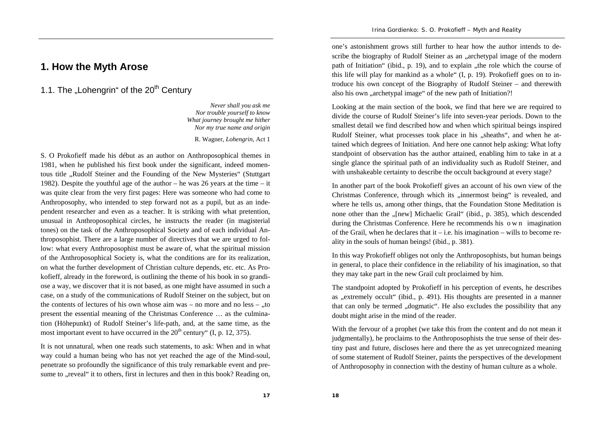## **1. How the Myth Arose**

1.1. The "Lohengrin" of the 20<sup>th</sup> Century

*Never shall you ask me Nor trouble yourself to know What journey brought me hither Nor my true name and origin* 

R. Wagner, *Lohengrin*, Act 1

S. O Prokofieff made his début as an author on Anthroposophical themes in 1981, when he published his first book under the significant, indeed momentous title "Rudolf Steiner and the Founding of the New Mysteries" (Stuttgart 1982). Despite the youthful age of the author – he was 26 years at the time – it was quite clear from the very first pages: Here was someone who had come to Anthroposophy, who intended to step forward not as a pupil, but as an independent researcher and even as a teacher. It is striking with what pretention, unusual in Anthroposophical circles, he instructs the reader (in magisterial tones) on the task of the Anthroposophical Society and of each individual Anthroposophist. There are a large number of directives that we are urged to follow: what every Anthroposophist must be aware of, what the spiritual mission of the Anthroposophical Society is, what the conditions are for its realization, on what the further development of Christian culture depends, etc. etc. As Prokofieff, already in the foreword, is outlining the theme of his book in so grandiose a way, we discover that it is not based, as one might have assumed in such a case, on a study of the communications of Rudolf Steiner on the subject, but on the contents of lectures of his own whose aim was – no more and no less – .,to present the essential meaning of the Christmas Conference … as the culmination (Höhepunkt) of Rudolf Steiner's life-path, and, at the same time, as the most important event to have occurred in the  $20<sup>th</sup>$  century" (I, p. 12, 375).

It is not unnatural, when one reads such statements, to ask: When and in what way could a human being who has not yet reached the age of the Mind-soul, penetrate so profoundly the significance of this truly remarkable event and presume to "reveal" it to others, first in lectures and then in this book? Reading on,

one's astonishment grows still further to hear how the author intends to describe the biography of Rudolf Steiner as an "archetypal image of the modern path of Initiation" (ibid., p. 19), and to explain , the role which the course of this life will play for mankind as a whole" (I, p. 19). Prokofieff goes on to introduce his own concept of the Biography of Rudolf Steiner – and therewith also his own "archetypal image" of the new path of Initiation?!

Looking at the main section of the book, we find that here we are required to divide the course of Rudolf Steiner's life into seven-year periods. Down to the smallest detail we find described how and when which spiritual beings inspired Rudolf Steiner, what processes took place in his "sheaths", and when he attained which degrees of Initiation. And here one cannot help asking: What lofty standpoint of observation has the author attained, enabling him to take in at a single glance the spiritual path of an individuality such as Rudolf Steiner, and with unshakeable certainty to describe the occult background at every stage?

In another part of the book Prokofieff gives an account of his own view of the Christmas Conference, through which its "innermost being" is revealed, and where he tells us, among other things, that the Foundation Stone Meditation is none other than the "[new] Michaelic Grail" (ibid., p. 385), which descended during the Christmas Conference. Here he recommends his o <sup>w</sup> <sup>n</sup> imagination of the Grail, when he declares that it – i.e. his imagination – wills to become reality in the souls of human beings! (ibid., p. 381).

In this way Prokofieff obliges not only the Anthroposophists, but human beings in general, to place their confidence in the reliability of his imagination, so that they may take part in the new Grail cult proclaimed by him.

The standpoint adopted by Prokofieff in his perception of events, he describes as "extremely occult" (ibid., p. 491). His thoughts are presented in a manner that can only be termed ",dogmatic". He also excludes the possibility that any doubt might arise in the mind of the reader.

With the fervour of a prophet (we take this from the content and do not mean it judgmentally), he proclaims to the Anthroposophists the true sense of their destiny past and future, discloses here and there the as yet unrecognized meaning of some statement of Rudolf Steiner, paints the perspectives of the development of Anthroposophy in connection with the destiny of human culture as a whole.

**17**

**18**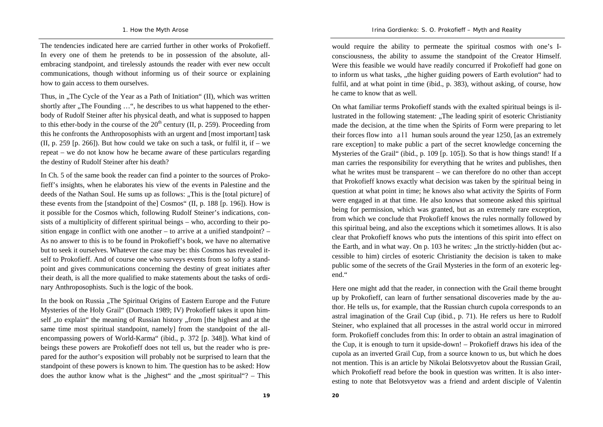The tendencies indicated here are carried further in other works of Prokofieff. In every one of them he pretends to be in possession of the absolute, allembracing standpoint, and tirelessly astounds the reader with ever new occult communications, though without informing us of their source or explaining how to gain access to them ourselves.

Thus, in ., The Cycle of the Year as a Path of Initiation" (II), which was written shortly after "The Founding"...", he describes to us what happened to the etherbody of Rudolf Steiner after his physical death, and what is supposed to happen to this ether-body in the course of the  $20<sup>th</sup>$  century (II, p. 259). Proceeding from this he confronts the Anthroposophists with an urgent and [most important] task (II, p. 259 [p. 266]). But how could we take on such a task, or fulfil it, if – we repeat – we do not know how he became aware of these particulars regarding the destiny of Rudolf Steiner after his death?

In Ch. 5 of the same book the reader can find a pointer to the sources of Prokofieff's insights, when he elaborates his view of the events in Palestine and the deeds of the Nathan Soul. He sums up as follows: "This is the [total picture] of these events from the [standpoint of the] Cosmos" (II, p. 188 [p. 196]). How is it possible for the Cosmos which, following Rudolf Steiner's indications, consists of a multiplicity of different spiritual beings – who, according to their position engage in conflict with one another – to arrive at a unified standpoint? – As no answer to this is to be found in Prokofieff's book, we have no alternative but to seek it ourselves. Whatever the case may be: this Cosmos has revealed itself to Prokofieff. And of course one who surveys events from so lofty a standpoint and gives communications concerning the destiny of great initiates after their death, is all the more qualified to make statements about the tasks of ordinary Anthroposophists. Such is the logic of the book.

In the book on Russia . The Spiritual Origins of Eastern Europe and the Future Mysteries of the Holy Grail" (Dornach 1989; IV) Prokofieff takes it upon himself , to explain "the meaning of Russian history , from [the highest and at the same time most spiritual standpoint, namely] from the standpoint of the allencompassing powers of World-Karma" (ibid., p. 372 [p. 348]). What kind of beings these powers are Prokofieff does not tell us, but the reader who is prepared for the author's exposition will probably not be surprised to learn that the standpoint of these powers is known to him. The question has to be asked: How does the author know what is the "highest" and the "most spiritual"? – This

*Irina Gordienko: S. O. Prokofieff – Myth and Reality*

would require the ability to permeate the spiritual cosmos with one's Iconsciousness, the ability to assume the standpoint of the Creator Himself. Were this feasible we would have readily concurred if Prokofieff had gone on to inform us what tasks, , the higher guiding powers of Earth evolution "had to fulfil, and at what point in time (ibid., p. 383), without asking, of course, how he came to know that as well.

On what familiar terms Prokofieff stands with the exalted spiritual beings is illustrated in the following statement: "The leading spirit of esoteric Christianity" made the decision, at the time when the Spirits of Form were preparing to let their forces flow into a  $11$  human souls around the year 1250, [as an extremely rare exception] to make public a part of the secret knowledge concerning the Mysteries of the Grail" (ibid., p. 109 [p. 105]). So that is how things stand! If a man carries the responsibility for everything that he writes and publishes, then what he writes must be transparent – we can therefore do no other than accept that Prokofieff knows exactly what decision was taken by the spiritual being in question at what point in time; he knows also what activity the Spirits of Form were engaged in at that time. He also knows that someone asked this spiritual being for permission, which was granted, but as an extremely rare exception, from which we conclude that Prokofieff knows the rules normally followed by this spiritual being, and also the exceptions which it sometimes allows. It is also clear that Prokofieff knows who puts the intentions of this spirit into effect on the Earth, and in what way. On p. 103 he writes: "In the strictly-hidden (but accessible to him) circles of esoteric Christianity the decision is taken to make public some of the secrets of the Grail Mysteries in the form of an exoteric legend."

Here one might add that the reader, in connection with the Grail theme brought up by Prokofieff, can learn of further sensational discoveries made by the author. He tells us, for example, that the Russian church cupola corresponds to an astral imagination of the Grail Cup (ibid., p. 71). He refers us here to Rudolf Steiner, who explained that all processes in the astral world occur in mirrored form. Prokofieff concludes from this: In order to obtain an astral imagination of the Cup, it is enough to turn it upside-down! – Prokofieff draws his idea of the cupola as an inverted Grail Cup, from a source known to us, but which he does not mention. This is an article by Nikolai Belotsvyetov about the Russian Grail, which Prokofieff read before the book in question was written. It is also interesting to note that Belotsvyetov was a friend and ardent disciple of Valentin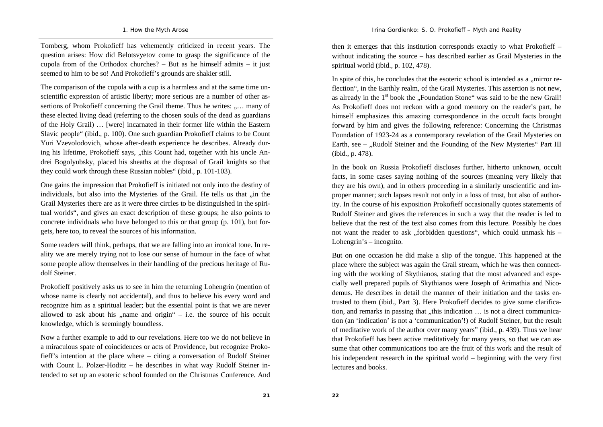Tomberg, whom Prokofieff has vehemently criticized in recent years. The question arises: How did Belotsvyetov come to grasp the significance of the cupola from of the Orthodox churches? – But as he himself admits – it just seemed to him to be so! And Prokofieff's grounds are shakier still.

The comparison of the cupola with a cup is a harmless and at the same time unscientific expression of artistic liberty; more serious are a number of other assertions of Prokofieff concerning the Grail theme. Thus he writes: ..... many of these elected living dead (referring to the chosen souls of the dead as guardians of the Holy Grail) … [were] incarnated in their former life within the Eastern Slavic people" (ibid., p. 100). One such guardian Prokofieff claims to be Count Yuri Vzevolodovich, whose after-death experience he describes. Already during his lifetime, Prokofieff says, "this Count had, together with his uncle Andrei Bogolyubsky, placed his sheaths at the disposal of Grail knights so that they could work through these Russian nobles" (ibid., p. 101-103).

One gains the impression that Prokofieff is initiated not only into the destiny of individuals, but also into the Mysteries of the Grail. He tells us that  $\mu$  in the Grail Mysteries there are as it were three circles to be distinguished in the spiritual worlds", and gives an exact description of these groups; he also points to concrete individuals who have belonged to this or that group (p. 101), but forgets, here too, to reveal the sources of his information.

Some readers will think, perhaps, that we are falling into an ironical tone. In reality we are merely trying not to lose our sense of humour in the face of what some people allow themselves in their handling of the precious heritage of Rudolf Steiner.

Prokofieff positively asks us to see in him the returning Lohengrin (mention of whose name is clearly not accidental), and thus to believe his every word and recognize him as a spiritual leader; but the essential point is that we are never allowed to ask about his  $\Box$  name and origin " – i.e. the source of his occult knowledge, which is seemingly boundless.

Now a further example to add to our revelations. Here too we do not believe in a miraculous spate of coincidences or acts of Providence, but recognize Prokofieff's intention at the place where – citing a conversation of Rudolf Steiner with Count L. Polzer-Hoditz – he describes in what way Rudolf Steiner intended to set up an esoteric school founded on the Christmas Conference. And

then it emerges that this institution corresponds exactly to what Prokofieff – without indicating the source – has described earlier as Grail Mysteries in the spiritual world (ibid., p. 102, 478).

In spite of this, he concludes that the esoteric school is intended as a  $\ldots$  mirror reflection", in the Earthly realm, of the Grail Mysteries. This assertion is not new, as already in the  $1<sup>st</sup>$  book the "Foundation Stone" was said to be the new Grail! As Prokofieff does not reckon with a good memory on the reader's part, he himself emphasizes this amazing correspondence in the occult facts brought forward by him and gives the following reference: Concerning the Christmas Foundation of 1923-24 as a contemporary revelation of the Grail Mysteries on Earth, see – "Rudolf Steiner and the Founding of the New Mysteries" Part III (ibid., p. 478).

In the book on Russia Prokofieff discloses further, hitherto unknown, occult facts, in some cases saying nothing of the sources (meaning very likely that they are his own), and in others proceeding in a similarly unscientific and improper manner; such lapses result not only in a loss of trust, but also of authority. In the course of his exposition Prokofieff occasionally quotes statements of Rudolf Steiner and gives the references in such a way that the reader is led to believe that the rest of the text also comes from this lecture. Possibly he does not want the reader to ask , forbidden questions", which could unmask his  $-$ Lohengrin's – incognito.

But on one occasion he did make a slip of the tongue. This happened at the place where the subject was again the Grail stream, which he was then connecting with the working of Skythianos, stating that the most advanced and especially well prepared pupils of Skythianos were Joseph of Arimathia and Nicodemus. He describes in detail the manner of their initiation and the tasks entrusted to them (ibid., Part 3). Here Prokofieff decides to give some clarification, and remarks in passing that  $\mu$ , this indication  $\ldots$  is not a direct communication (an 'indication' is not a 'communication'!) of Rudolf Steiner, but the result of meditative work of the author over many years" (ibid., p. 439). Thus we hear that Prokofieff has been active meditatively for many years, so that we can assume that other communications too are the fruit of this work and the result of his independent research in the spiritual world – beginning with the very first lectures and books.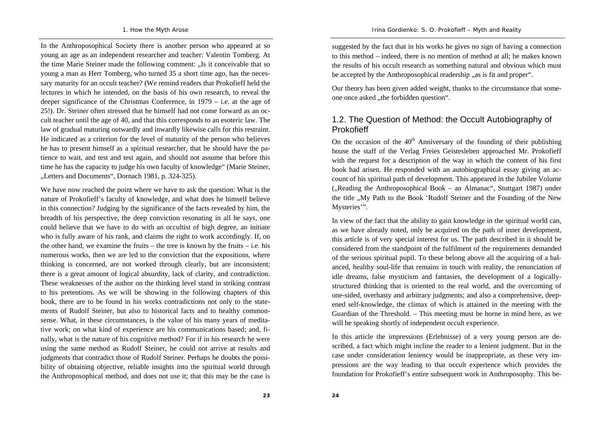In the Anthroposophical Society there is another person who appeared at so young an age as an independent researcher and teacher: Valentin Tomberg. At the time Marie Steiner made the following comment: "Is it conceivable that so young a man as Herr Tomberg, who turned 35 a short time ago, has the necessary maturity for an occult teacher? (We remind readers that Prokofieff held the lectures in which he intended, on the basis of his own research, to reveal the deeper significance of the Christmas Conference, in 1979 – i.e. at the age of 25!). Dr. Steiner often stressed that he himself had not come forward as an occult teacher until the age of 40, and that this corresponds to an esoteric law. The law of gradual maturing outwardly and inwardly likewise calls for this restraint. He indicated as a criterion for the level of maturity of the person who believes he has to present himself as a spiritual researcher, that he should have the patience to wait, and test and test again, and should not assume that before this time he has the capacity to judge his own faculty of knowledge" (Marie Steiner, "Letters and Documents", Dornach 1981, p. 324-325).

We have now reached the point where we have to ask the question: What is the nature of Prokofieff's faculty of knowledge, and what does he himself believe in this connection? Judging by the significance of the facts revealed by him, the breadth of his perspective, the deep conviction resonating in all he says, one could believe that we have to do with an occultist of high degree, an initiate who is fully aware of his rank, and claims the right to work accordingly. If, on the other hand, we examine the fruits – the tree is known by the fruits – i.e. his numerous works, then we are led to the conviction that the expositions, where thinking is concerned, are not worked through clearly, but are inconsistent; there is a great amount of logical absurdity, lack of clarity, and contradiction. These weaknesses of the author on the thinking level stand in striking contrast to his pretentions. As we will be showing in the following chapters of this book, there are to be found in his works contradictions not only to the statements of Rudolf Steiner, but also to historical facts and to healthy commonsense. What, in these circumstances, is the value of his many years of meditative work; on what kind of experience are his communications based; and, finally, what is the nature of his cognitive method? For if in his research he were using the same method as Rudolf Steiner, he could not arrive at results and judgments that contradict those of Rudolf Steiner. Perhaps he doubts the possibility of obtaining objective, reliable insights into the spiritual world through the Anthroposophical method, and does not use it; that this may be the case is

suggested by the fact that in his works he gives no sign of having a connection to this method – indeed, there is no mention of method at all; he makes known the results of his occult research as something natural and obvious which must be accepted by the Anthroposophical readership ..as is fit and proper".

Our theory has been given added weight, thanks to the circumstance that someone once asked "the forbidden question".

## 1.2. The Question of Method: the Occult Autobiography of Prokofieff

On the occasion of the  $40<sup>th</sup>$  Anniversary of the founding of their publishing house the staff of the Verlag Freies Geistesleben approached Mr. Prokofieff with the request for a description of the way in which the content of his first book had arisen. He responded with an autobiographical essay giving an account of his spiritual path of development. This appeared in the Jubilee Volume  $($ <sub>n</sub>Reading the Anthroposophical Book – an Almanac<sup>\*</sup>, Stuttgart 1987) under the title "My Path to the Book 'Rudolf Steiner and the Founding of the New Mysteries'".

In view of the fact that the ability to gain knowledge in the spiritual world can, as we have already noted, only be acquired on the path of inner development, this article is of very special interest for us. The path described in it should be considered from the standpoint of the fulfilment of the requirements demanded of the serious spiritual pupil. To these belong above all the acquiring of a balanced, healthy soul-life that remains in touch with reality, the renunciation of idle dreams, false mysticism and fantasies, the development of a logicallystructured thinking that is oriented to the real world, and the overcoming of one-sided, overhasty and arbitrary judgments; and also a comprehensive, deepened self-knowledge, the climax of which is attained in the meeting with the Guardian of the Threshold. – This meeting must be borne in mind here, as we will be speaking shortly of independent occult experience.

In this article the impressions (Erlebnisse) of a very young person are described, a fact which might incline the reader to a lenient judgment. But in the case under consideration leniency would be inappropriate, as these very impressions are the way leading to that occult experience which provides the foundation for Prokofieff's entire subsequent work in Anthroposophy. This be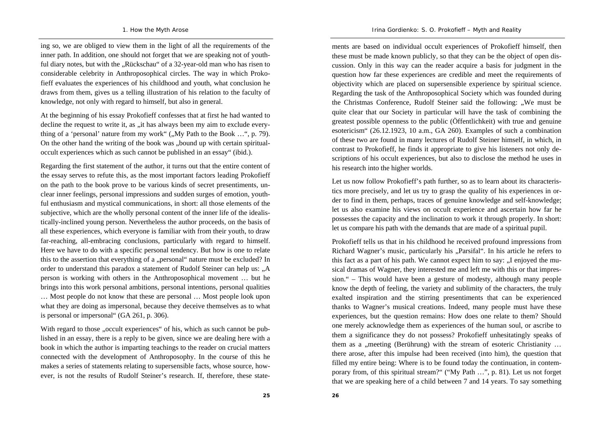ing so, we are obliged to view them in the light of all the requirements of the inner path. In addition, one should not forget that we are speaking not of youthful diary notes, but with the "Rückschau" of a 32-year-old man who has risen to considerable celebrity in Anthroposophical circles. The way in which Prokofieff evaluates the experiences of his childhood and youth, what conclusion he draws from them, gives us a telling illustration of his relation to the faculty of knowledge, not only with regard to himself, but also in general.

At the beginning of his essay Prokofieff confesses that at first he had wanted to decline the request to write it, as , it has always been my aim to exclude everything of a 'personal' nature from my work"  $($ "My Path to the Book  $\ldots$ ", p. 79). On the other hand the writing of the book was "bound up with certain spiritualoccult experiences which as such cannot be published in an essay" (ibid.).

Regarding the first statement of the author, it turns out that the entire content of the essay serves to refute this, as the most important factors leading Prokofieff on the path to the book prove to be various kinds of secret presentiments, unclear inner feelings, personal impressions and sudden surges of emotion, youthful enthusiasm and mystical communications, in short: all those elements of the subjective, which are the wholly personal content of the inner life of the idealistically-inclined young person. Nevertheless the author proceeds, on the basis of all these experiences, which everyone is familiar with from their youth, to draw far-reaching, all-embracing conclusions, particularly with regard to himself. Here we have to do with a specific personal tendency. But how is one to relate this to the assertion that everything of a "personal" nature must be excluded? In order to understand this paradox a statement of Rudolf Steiner can help us: "A person is working with others in the Anthroposophical movement … but he brings into this work personal ambitions, personal intentions, personal qualities … Most people do not know that these are personal … Most people look upon what they are doing as impersonal, because they deceive themselves as to what is personal or impersonal" (GA 261, p. 306).

With regard to those "occult experiences" of his, which as such cannot be published in an essay, there is a reply to be given, since we are dealing here with a book in which the author is imparting teachings to the reader on crucial matters connected with the development of Anthroposophy. In the course of this he makes a series of statements relating to supersensible facts, whose source, however, is not the results of Rudolf Steiner's research. If, therefore, these statements are based on individual occult experiences of Prokofieff himself, then these must be made known publicly, so that they can be the object of open discussion. Only in this way can the reader acquire a basis for judgment in the question how far these experiences are credible and meet the requirements of objectivity which are placed on supersensible experience by spiritual science. Regarding the task of the Anthroposophical Society which was founded during the Christmas Conference, Rudolf Steiner said the following: "We must be quite clear that our Society in particular will have the task of combining the greatest possible openness to the public (Öffentlichkeit) with true and genuine esotericism" (26.12.1923, 10 a.m., GA 260). Examples of such a combination of these two are found in many lectures of Rudolf Steiner himself, in which, in contrast to Prokofieff, he finds it appropriate to give his listeners not only descriptions of his occult experiences, but also to disclose the method he uses in his research into the higher worlds.

Let us now follow Prokofieff's path further, so as to learn about its characteristics more precisely, and let us try to grasp the quality of his experiences in order to find in them, perhaps, traces of genuine knowledge and self-knowledge; let us also examine his views on occult experience and ascertain how far he possesses the capacity and the inclination to work it through properly. In short: let us compare his path with the demands that are made of a spiritual pupil.

Prokofieff tells us that in his childhood he received profound impressions from Richard Wagner's music, particularly his "Parsifal". In his article he refers to this fact as a part of his path. We cannot expect him to say: "I enjoyed the musical dramas of Wagner, they interested me and left me with this or that impression." – This would have been a gesture of modesty, although many people know the depth of feeling, the variety and sublimity of the characters, the truly exalted inspiration and the stirring presentiments that can be experienced thanks to Wagner's musical creations. Indeed, many people must have these experiences, but the question remains: How does one relate to them? Should one merely acknowledge them as experiences of the human soul, or ascribe to them a significance they do not possess? Prokofieff unhesitatingly speaks of them as a "meeting (Berührung) with the stream of esoteric Christianity ... there arose, after this impulse had been received (into him), the question that filled my entire being: Where is to be found today the continuation, in contemporary from, of this spiritual stream?" ("My Path …", p. 81). Let us not forget that we are speaking here of a child between 7 and 14 years. To say something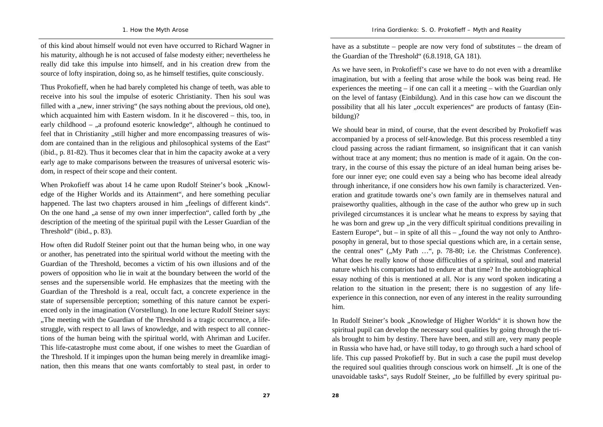of this kind about himself would not even have occurred to Richard Wagner in his maturity, although he is not accused of false modesty either; nevertheless he really did take this impulse into himself, and in his creation drew from the source of lofty inspiration, doing so, as he himself testifies, quite consciously.

Thus Prokofieff, when he had barely completed his change of teeth, was able to receive into his soul the impulse of esoteric Christianity. Then his soul was filled with a "new, inner striving" (he says nothing about the previous, old one), which acquainted him with Eastern wisdom. In it he discovered – this, too, in early childhood –  $\alpha$ , a profound esoteric knowledge", although he continued to feel that in Christianity "still higher and more encompassing treasures of wisdom are contained than in the religious and philosophical systems of the East" (ibid., p. 81-82). Thus it becomes clear that in him the capacity awoke at a very early age to make comparisons between the treasures of universal esoteric wisdom, in respect of their scope and their content.

When Prokofieff was about 14 he came upon Rudolf Steiner's book "Knowledge of the Higher Worlds and its Attainment", and here something peculiar happened. The last two chapters aroused in him "feelings of different kinds". On the one hand "a sense of my own inner imperfection", called forth by ", the description of the meeting of the spiritual pupil with the Lesser Guardian of the Threshold" (ibid., p. 83).

How often did Rudolf Steiner point out that the human being who, in one way or another, has penetrated into the spiritual world without the meeting with the Guardian of the Threshold, becomes a victim of his own illusions and of the powers of opposition who lie in wait at the boundary between the world of the senses and the supersensible world. He emphasizes that the meeting with the Guardian of the Threshold is a real, occult fact, a concrete experience in the state of supersensible perception; something of this nature cannot be experienced only in the imagination (Vorstellung). In one lecture Rudolf Steiner says: "The meeting with the Guardian of the Threshold is a tragic occurrence, a lifestruggle, with respect to all laws of knowledge, and with respect to all connections of the human being with the spiritual world, with Ahriman and Lucifer. This life-catastrophe must come about, if one wishes to meet the Guardian of the Threshold. If it impinges upon the human being merely in dreamlike imagination, then this means that one wants comfortably to steal past, in order to

have as a substitute – people are now very fond of substitutes – the dream of the Guardian of the Threshold" (6.8.1918, GA 181).

As we have seen, in Prokofieff's case we have to do not even with a dreamlike imagination, but with a feeling that arose while the book was being read. He experiences the meeting – if one can call it a meeting – with the Guardian only on the level of fantasy (Einbildung). And in this case how can we discount the possibility that all his later "occult experiences" are products of fantasy (Einbildung)?

We should bear in mind, of course, that the event described by Prokofieff was accompanied by a process of self-knowledge. But this process resembled a tiny cloud passing across the radiant firmament, so insignificant that it can vanish without trace at any moment; thus no mention is made of it again. On the contrary, in the course of this essay the picture of an ideal human being arises before our inner eye; one could even say a being who has become ideal already through inheritance, if one considers how his own family is characterized. Veneration and gratitude towards one's own family are in themselves natural and praiseworthy qualities, although in the case of the author who grew up in such privileged circumstances it is unclear what he means to express by saying that he was born and grew up ,,in the very difficult spiritual conditions prevailing in Eastern Europe", but – in spite of all this – "found the way not only to Anthroposophy in general, but to those special questions which are, in a certain sense, the central ones" ("My Path ...", p. 78-80; i.e. the Christmas Conference). What does he really know of those difficulties of a spiritual, soul and material nature which his compatriots had to endure at that time? In the autobiographical essay nothing of this is mentioned at all. Nor is any word spoken indicating a relation to the situation in the present; there is no suggestion of any lifeexperience in this connection, nor even of any interest in the reality surrounding him.

In Rudolf Steiner's book "Knowledge of Higher Worlds" it is shown how the spiritual pupil can develop the necessary soul qualities by going through the trials brought to him by destiny. There have been, and still are, very many people in Russia who have had, or have still today, to go through such a hard school of life. This cup passed Prokofieff by. But in such a case the pupil must develop the required soul qualities through conscious work on himself. "It is one of the unavoidable tasks", says Rudolf Steiner, "to be fulfilled by every spiritual pu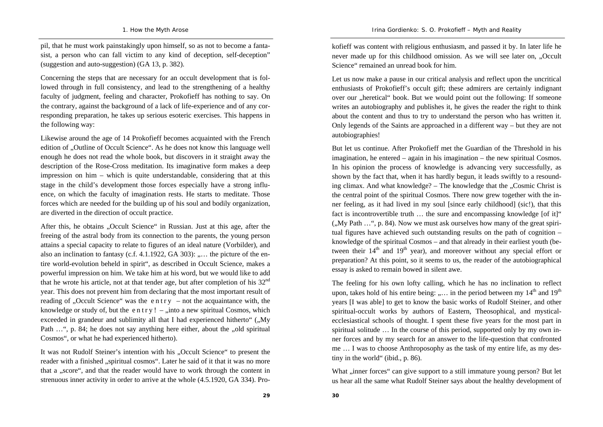pil, that he must work painstakingly upon himself, so as not to become a fantasist, a person who can fall victim to any kind of deception, self-deception" (suggestion and auto-suggestion) (GA 13, p. 382).

Concerning the steps that are necessary for an occult development that is followed through in full consistency, and lead to the strengthening of a healthy faculty of judgment, feeling and character, Prokofieff has nothing to say. On the contrary, against the background of a lack of life-experience and of any corresponding preparation, he takes up serious esoteric exercises. This happens in the following way:

Likewise around the age of 14 Prokofieff becomes acquainted with the French edition of "Outline of Occult Science". As he does not know this language well enough he does not read the whole book, but discovers in it straight away the description of the Rose-Cross meditation. Its imaginative form makes a deep impression on him – which is quite understandable, considering that at this stage in the child's development those forces especially have a strong influence, on which the faculty of imagination rests. He starts to meditate. Those forces which are needed for the building up of his soul and bodily organization, are diverted in the direction of occult practice.

After this, he obtains "Occult Science" in Russian. Just at this age, after the freeing of the astral body from its connection to the parents, the young person attains a special capacity to relate to figures of an ideal nature (Vorbilder), and also an inclination to fantasy (c.f.  $4.1.1922$ , GA 303): .... the picture of the entire world-evolution beheld in spirit", as described in Occult Science, makes a powerful impression on him. We take him at his word, but we would like to add that he wrote his article, not at that tender age, but after completion of his 32<sup>nd</sup> year. This does not prevent him from declaring that the most important result of reading of "Occult Science" was the entry – not the acquaintance with, the knowledge or study of, but the e n t r y ! –  $\mu$  into a new spiritual Cosmos, which exceeded in grandeur and sublimity all that I had experienced hitherto"  $(My)$ Path ...", p. 84; he does not say anything here either, about the "old spiritual Cosmos", or what he had experienced hitherto).

It was not Rudolf Steiner's intention with his "Occult Science" to present the reader with a finished "spiritual cosmos". Later he said of it that it was no more that a "score", and that the reader would have to work through the content in strenuous inner activity in order to arrive at the whole (4.5.1920, GA 334). Prokofieff was content with religious enthusiasm, and passed it by. In later life he never made up for this childhood omission. As we will see later on, "Occult Science" remained an unread book for him.

Let us now make a pause in our critical analysis and reflect upon the uncritical enthusiasts of Prokofieff's occult gift; these admirers are certainly indignant over our "heretical" book. But we would point out the following: If someone writes an autobiography and publishes it, he gives the reader the right to think about the content and thus to try to understand the person who has written it. Only legends of the Saints are approached in a different way – but they are not autobiographies!

But let us continue. After Prokofieff met the Guardian of the Threshold in his imagination, he entered – again in his imagination – the new spiritual Cosmos. In his opinion the process of knowledge is advancing very successfully, as shown by the fact that, when it has hardly begun, it leads swiftly to a resounding climax. And what knowledge?  $-$  The knowledge that the  $\alpha$ . Cosmic Christ is the central point of the spiritual Cosmos. There now grew together with the inner feeling, as it had lived in my soul [since early childhood] (sic!), that this fact is incontrovertible truth ... the sure and encompassing knowledge [of it]"  $(My$  Path  $\ldots$ ", p. 84). Now we must ask ourselves how many of the great spiritual figures have achieved such outstanding results on the path of cognition – knowledge of the spiritual Cosmos – and that already in their earliest youth (between their  $14<sup>th</sup>$  and  $19<sup>th</sup>$  year), and moreover without any special effort or preparation? At this point, so it seems to us, the reader of the autobiographical essay is asked to remain bowed in silent awe.

The feeling for his own lofty calling, which he has no inclination to reflect upon, takes hold of his entire being:  $,...$  in the period between my  $14<sup>th</sup>$  and  $19<sup>th</sup>$ years [I was able] to get to know the basic works of Rudolf Steiner, and other spiritual-occult works by authors of Eastern, Theosophical, and mysticalecclesiastical schools of thought. I spent these five years for the most part in spiritual solitude … In the course of this period, supported only by my own inner forces and by my search for an answer to the life-question that confronted me … I was to choose Anthroposophy as the task of my entire life, as my destiny in the world" (ibid., p. 86).

What "inner forces" can give support to a still immature young person? But let us hear all the same what Rudolf Steiner says about the healthy development of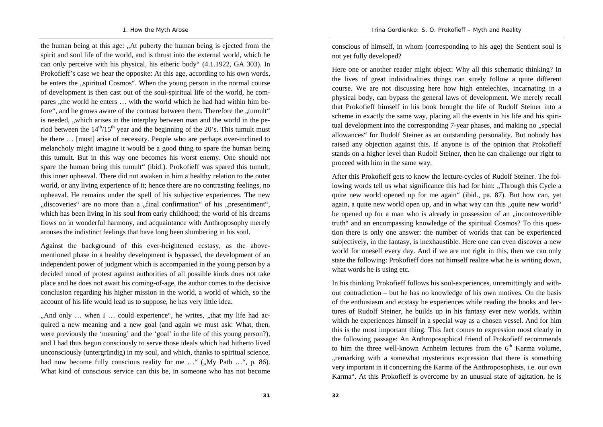the human being at this age: "At puberty the human being is ejected from the spirit and soul life of the world, and is thrust into the external world, which he can only perceive with his physical, his etheric body" (4.1.1922, GA 303). In Prokofieff's case we hear the opposite: At this age, according to his own words, he enters the "spiritual Cosmos". When the young person in the normal course of development is then cast out of the soul-spiritual life of the world, he compares , the world he enters ... with the world which he had had within him before", and he grows aware of the contrast between them. Therefore the "tumult" is needed, "which arises in the interplay between man and the world in the period between the  $14<sup>th</sup>/15<sup>th</sup>$  year and the beginning of the 20's. This tumult must be there … [must] arise of necessity. People who are perhaps over-inclined to melancholy might imagine it would be a good thing to spare the human being this tumult. But in this way one becomes his worst enemy. One should not spare the human being this tumult" (ibid.). Prokofieff was spared this tumult, this inner upheaval. There did not awaken in him a healthy relation to the outer world, or any living experience of it; hence there are no contrasting feelings, no upheaval. He remains under the spell of his subjective experiences. The new "discoveries" are no more than a "final confirmation" of his "presentiment", which has been living in his soul from early childhood; the world of his dreams flows on in wonderful harmony, and acquaintance with Anthroposophy merely arouses the indistinct feelings that have long been slumbering in his soul.

Against the background of this ever-heightened ecstasy, as the abovementioned phase in a healthy development is bypassed, the development of an independent power of judgment which is accompanied in the young person by a decided mood of protest against authorities of all possible kinds does not take place and he does not await his coming-of-age, the author comes to the decisive conclusion regarding his higher mission in the world, a world of which, so the account of his life would lead us to suppose, he has very little idea.

"And only ... when I ... could experience", he writes, "that my life had acquired a new meaning and a new goal (and again we must ask: What, then, were previously the 'meaning' and the 'goal' in the life of this young person?), and I had thus begun consciously to serve those ideals which had hitherto lived unconsciously (untergründig) in my soul, and which, thanks to spiritual science, had now become fully conscious reality for me  $\ldots$ " ( $\ldots$ Wy Path  $\ldots$ ", p. 86). What kind of conscious service can this be, in someone who has not become

conscious of himself, in whom (corresponding to his age) the Sentient soul is not yet fully developed?

Here one or another reader might object: Why all this schematic thinking? In the lives of great individualities things can surely follow a quite different course. We are not discussing here how high entelechies, incarnating in a physical body, can bypass the general laws of development. We merely recall that Prokofieff himself in his book brought the life of Rudolf Steiner into a scheme in exactly the same way, placing all the events in his life and his spiritual development into the corresponding 7-year phases, and making no "special allowances" for Rudolf Steiner as an outstanding personality. But nobody has raised any objection against this. If anyone is of the opinion that Prokofieff stands on a higher level than Rudolf Steiner, then he can challenge our right to proceed with him in the same way.

After this Prokofieff gets to know the lecture-cycles of Rudolf Steiner. The following words tell us what significance this had for him: "Through this Cycle a quite new world opened up for me again" (ibid., pa. 87). But how can, yet again, a quite new world open up, and in what way can this "quite new world" be opened up for a man who is already in possession of an  $\mu$  incontrovertible truth" and an encompassing knowledge of the spiritual Cosmos? To this question there is only one answer: the number of worlds that can be experienced subjectively, in the fantasy, is inexhaustible. Here one can even discover a new world for oneself every day. And if we are not right in this, then we can only state the following: Prokofieff does not himself realize what he is writing down, what words he is using etc.

In his thinking Prokofieff follows his soul-experiences, unremittingly and without contradiction – but he has no knowledge of his own motives. On the basis of the enthusiasm and ecstasy he experiences while reading the books and lectures of Rudolf Steiner, he builds up in his fantasy ever new worlds, within which he experiences himself in a special way as a chosen vessel. And for him this is the most important thing. This fact comes to expression most clearly in the following passage: An Anthroposophical friend of Prokofieff recommends to him the three well-known Arnheim lectures from the  $6<sup>th</sup>$  Karma volume, , remarking with a somewhat mysterious expression that there is something very important in it concerning the Karma of the Anthroposophists, i.e. our own Karma". At this Prokofieff is overcome by an unusual state of agitation, he is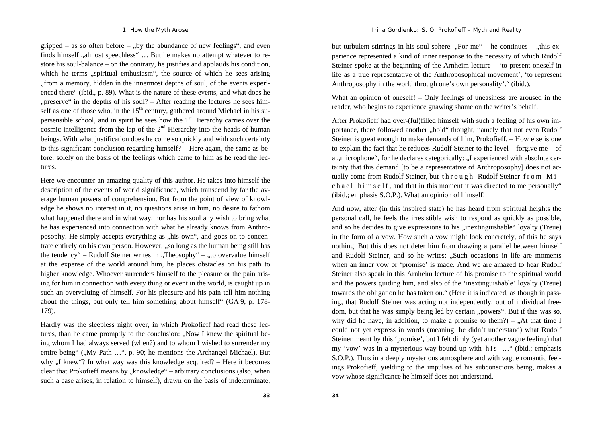gripped – as so often before – ..by the abundance of new feelings", and even finds himself  $\alpha$  almost speechless"  $\ldots$  But he makes no attempt whatever to restore his soul-balance – on the contrary, he justifies and applauds his condition, which he terms "spiritual enthusiasm", the source of which he sees arising "from a memory, hidden in the innermost depths of soul, of the events experienced there" (ibid., p. 89). What is the nature of these events, and what does he "", preserve" in the depths of his soul?  $-$  After reading the lectures he sees himself as one of those who, in the  $15<sup>th</sup>$  century, gathered around Michael in his supersensible school, and in spirit he sees how the  $1<sup>st</sup>$  Hierarchy carries over the cosmic intelligence from the lap of the  $2<sup>nd</sup>$  Hierarchy into the heads of human beings. With what justification does he come so quickly and with such certainty to this significant conclusion regarding himself? – Here again, the same as before: solely on the basis of the feelings which came to him as he read the lectures.

Here we encounter an amazing quality of this author. He takes into himself the description of the events of world significance, which transcend by far the average human powers of comprehension. But from the point of view of knowledge he shows no interest in it, no questions arise in him, no desire to fathom what happened there and in what way; nor has his soul any wish to bring what he has experienced into connection with what he already knows from Anthroposophy. He simply accepts everything as "his own", and goes on to concentrate entirely on his own person. However, "so long as the human being still has the tendency" – Rudolf Steiner writes in "Theosophy" – "to overvalue himself at the expense of the world around him, he places obstacles on his path to higher knowledge. Whoever surrenders himself to the pleasure or the pain arising for him in connection with every thing or event in the world, is caught up in such an overvaluing of himself. For his pleasure and his pain tell him nothing about the things, but only tell him something about himself" (GA 9, p. 178- 179).

Hardly was the sleepless night over, in which Prokofieff had read these lectures, than he came promptly to the conclusion: "Now I knew the spiritual being whom I had always served (when?) and to whom I wished to surrender my entire being" ("My Path ...", p. 90; he mentions the Archangel Michael). But why  $\mu$ . I knew"? In what way was this knowledge acquired? – Here it becomes clear that Prokofieff means by "knowledge" – arbitrary conclusions (also, when such a case arises, in relation to himself), drawn on the basis of indeterminate,

but turbulent stirrings in his soul sphere.  $F$ or me" – he continues –  $F$ this experience represented a kind of inner response to the necessity of which Rudolf Steiner spoke at the beginning of the Arnheim lecture – 'to present oneself in life as a true representative of the Anthroposophical movement', 'to represent Anthroposophy in the world through one's own personality'." (ibid.).

What an opinion of oneself! – Only feelings of uneasiness are aroused in the reader, who begins to experience gnawing shame on the writer's behalf.

After Prokofieff had over-(ful)filled himself with such a feeling of his own importance, there followed another "bold" thought, namely that not even Rudolf Steiner is great enough to make demands of him, Prokofieff. – How else is one to explain the fact that he reduces Rudolf Steiner to the level – forgive me – of a , microphone", for he declares categorically:  $I$  experienced with absolute certainty that this demand [to be a representative of Anthroposophy] does not actually come from Rudolf Steiner, but through Rudolf Steiner from Mic h a e l h i m s e l f, and that in this moment it was directed to me personally" (ibid.; emphasis S.O.P.). What an opinion of himself!

And now, after (in this inspired state) he has heard from spiritual heights the personal call, he feels the irresistible wish to respond as quickly as possible, and so he decides to give expressions to his ... inextinguishable "loyalty (Treue) in the form of a vow. How such a vow might look concretely, of this he says nothing. But this does not deter him from drawing a parallel between himself and Rudolf Steiner, and so he writes: "Such occasions in life are moments when an inner vow or 'promise' is made. And we are amazed to hear Rudolf Steiner also speak in this Arnheim lecture of his promise to the spiritual world and the powers guiding him, and also of the 'inextinguishable' loyalty (Treue) towards the obligation he has taken on." (Here it is indicated, as though in passing, that Rudolf Steiner was acting not independently, out of individual freedom, but that he was simply being led by certain "powers". But if this was so, why did he have, in addition, to make a promise to them?) –  $\Lambda$  that time I could not yet express in words (meaning: he didn't understand) what Rudolf Steiner meant by this 'promise', but I felt dimly (yet another vague feeling) that my 'vow' was in a mysterious way bound up with h i s ... " (ibid.; emphasis S.O.P.). Thus in a deeply mysterious atmosphere and with vague romantic feelings Prokofieff, yielding to the impulses of his subconscious being, makes a vow whose significance he himself does not understand.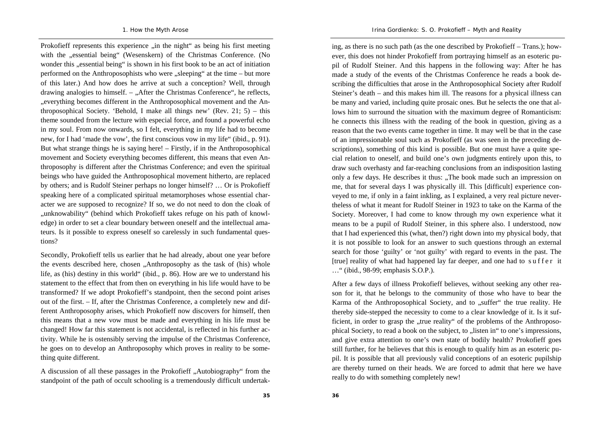Prokofieff represents this experience "in the night" as being his first meeting with the "essential being" (Wesenskern) of the Christmas Conference. (No wonder this "essential being" is shown in his first book to be an act of initiation performed on the Anthroposophists who were "sleeping" at the time – but more of this later.) And how does he arrive at such a conception? Well, through drawing analogies to himself.  $-$ , After the Christmas Conference", he reflects, "everything becomes different in the Anthroposophical movement and the Anthroposophical Society. 'Behold, I make all things new' (Rev. 21; 5) – this theme sounded from the lecture with especial force, and found a powerful echo in my soul. From now onwards, so I felt, everything in my life had to become new, for I had 'made the vow', the first conscious vow in my life" (ibid., p. 91). But what strange things he is saying here! – Firstly, if in the Anthroposophical movement and Society everything becomes different, this means that even Anthroposophy is different after the Christmas Conference; and even the spiritual beings who have guided the Anthroposophical movement hitherto, are replaced by others; and is Rudolf Steiner perhaps no longer himself? … Or is Prokofieff speaking here of a complicated spiritual metamorphoses whose essential character we are supposed to recognize? If so, we do not need to don the cloak of "unknowability" (behind which Prokofieff takes refuge on his path of knowledge) in order to set a clear boundary between oneself and the intellectual amateurs. Is it possible to express oneself so carelessly in such fundamental questions?

Secondly, Prokofieff tells us earlier that he had already, about one year before the events described here, chosen "Anthroposophy as the task of (his) whole life, as (his) destiny in this world" (ibid., p. 86). How are we to understand his statement to the effect that from then on everything in his life would have to be transformed? If we adopt Prokofieff's standpoint, then the second point arises out of the first. – If, after the Christmas Conference, a completely new and different Anthroposophy arises, which Prokofieff now discovers for himself, then this means that a new vow must be made and everything in his life must be changed! How far this statement is not accidental, is reflected in his further activity. While he is ostensibly serving the impulse of the Christmas Conference, he goes on to develop an Anthroposophy which proves in reality to be something quite different.

A discussion of all these passages in the Prokofieff "Autobiography" from the standpoint of the path of occult schooling is a tremendously difficult undertaking, as there is no such path (as the one described by Prokofieff – Trans.); however, this does not hinder Prokofieff from portraying himself as an esoteric pupil of Rudolf Steiner. And this happens in the following way: After he has made a study of the events of the Christmas Conference he reads a book describing the difficulties that arose in the Anthroposophical Society after Rudolf Steiner's death – and this makes him ill. The reasons for a physical illness can be many and varied, including quite prosaic ones. But he selects the one that allows him to surround the situation with the maximum degree of Romanticism: he connects this illness with the reading of the book in question, giving as a reason that the two events came together in time. It may well be that in the case of an impressionable soul such as Prokofieff (as was seen in the preceding descriptions), something of this kind is possible. But one must have a quite special relation to oneself, and build one's own judgments entirely upon this, to draw such overhasty and far-reaching conclusions from an indisposition lasting only a few days. He describes it thus: "The book made such an impression on me, that for several days I was physically ill. This [difficult] experience conveyed to me, if only in a faint inkling, as I explained, a very real picture nevertheless of what it meant for Rudolf Steiner in 1923 to take on the Karma of the Society. Moreover, I had come to know through my own experience what it means to be a pupil of Rudolf Steiner, in this sphere also. I understood, now that I had experienced this (what, then?) right down into my physical body, that it is not possible to look for an answer to such questions through an external search for those 'guilty' or 'not guilty' with regard to events in the past. The [true] reality of what had happened lay far deeper, and one had to suffer it …" (ibid., 98-99; emphasis S.O.P.).

After a few days of illness Prokofieff believes, without seeking any other reason for it, that he belongs to the community of those who have to bear the Karma of the Anthroposophical Society, and to "suffer" the true reality. He thereby side-stepped the necessity to come to a clear knowledge of it. Is it sufficient, in order to grasp the "true reality" of the problems of the Anthroposophical Society, to read a book on the subject, to "listen in" to one's impressions, and give extra attention to one's own state of bodily health? Prokofieff goes still further, for he believes that this is enough to qualify him as an esoteric pupil. It is possible that all previously valid conceptions of an esoteric pupilship are thereby turned on their heads. We are forced to admit that here we have really to do with something completely new!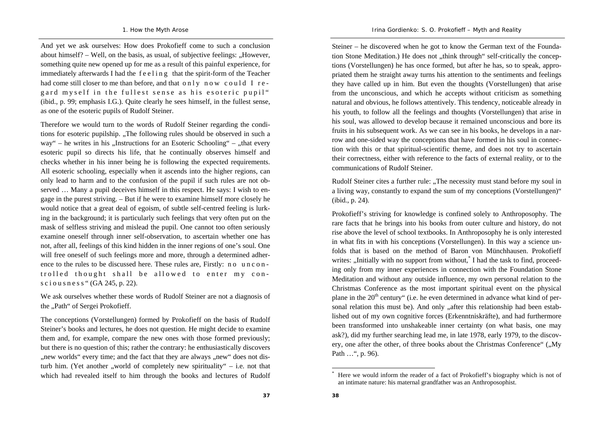And yet we ask ourselves: How does Prokofieff come to such a conclusion about himself?  $-$  Well, on the basis, as usual, of subjective feelings:  $.$ However, something quite new opened up for me as a result of this painful experience, for immediately afterwards I had the f e e l i n g that the spirit-form of the Teacher had come still closer to me than before, and that  $\circ$  n l  $\circ$  n  $\circ$  w  $\circ$  c  $\circ$  u l d I r e gard myself in the fullest sense as his esoteric pupil" (ibid., p. 99; emphasis I.G.). Quite clearly he sees himself, in the fullest sense, as one of the esoteric pupils of Rudolf Steiner.

Therefore we would turn to the words of Rudolf Steiner regarding the conditions for esoteric pupilship. "The following rules should be observed in such a way" – he writes in his  $\Lambda$ Instructions for an Esoteric Schooling" –  $\Lambda$ that every esoteric pupil so directs his life, that he continually observes himself and checks whether in his inner being he is following the expected requirements. All esoteric schooling, especially when it ascends into the higher regions, can only lead to harm and to the confusion of the pupil if such rules are not observed … Many a pupil deceives himself in this respect. He says: I wish to engage in the purest striving. – But if he were to examine himself more closely he would notice that a great deal of egoism, of subtle self-centred feeling is lurking in the background; it is particularly such feelings that very often put on the mask of selfless striving and mislead the pupil. One cannot too often seriously examine oneself through inner self-observation, to ascertain whether one has not, after all, feelings of this kind hidden in the inner regions of one's soul. One will free oneself of such feelings more and more, through a determined adherence to the rules to be discussed here. These rules are, Firstly: no uncontrolled thought shall be allowed to enter my cons c i o u s n e s s " (GA 245, p. 22).

We ask ourselves whether these words of Rudolf Steiner are not a diagnosis of the "Path" of Sergei Prokofieff.

The conceptions (Vorstellungen) formed by Prokofieff on the basis of Rudolf Steiner's books and lectures, he does not question. He might decide to examine them and, for example, compare the new ones with those formed previously; but there is no question of this; rather the contrary: he enthusiastically discovers ", new worlds" every time; and the fact that they are always ", new" does not disturb him. (Yet another "world of completely new spirituality"  $-$  i.e. not that which had revealed itself to him through the books and lectures of Rudolf

Steiner – he discovered when he got to know the German text of the Foundation Stone Meditation.) He does not "think through" self-critically the conceptions (Vorstellungen) he has once formed, but after he has, so to speak, appropriated them he straight away turns his attention to the sentiments and feelings they have called up in him. But even the thoughts (Vorstellungen) that arise from the unconscious, and which he accepts without criticism as something natural and obvious, he follows attentively. This tendency, noticeable already in his youth, to follow all the feelings and thoughts (Vorstellungen) that arise in his soul, was allowed to develop because it remained unconscious and bore its fruits in his subsequent work. As we can see in his books, he develops in a narrow and one-sided way the conceptions that have formed in his soul in connection with this or that spiritual-scientific theme, and does not try to ascertain their correctness, either with reference to the facts of external reality, or to the communications of Rudolf Steiner.

Rudolf Steiner cites a further rule: "The necessity must stand before my soul in a living way, constantly to expand the sum of my conceptions (Vorstellungen)" (ibid., p. 24).

Prokofieff's striving for knowledge is confined solely to Anthroposophy. The rare facts that he brings into his books from outer culture and history, do not rise above the level of school textbooks. In Anthroposophy he is only interested in what fits in with his conceptions (Vorstellungen). In this way a science unfolds that is based on the method of Baron von Münchhausen. Prokofieff writes: "Initially with no support from without,<sup>\*</sup> I had the task to find, proceeding only from my inner experiences in connection with the Foundation Stone Meditation and without any outside influence, my own personal relation to the Christmas Conference as the most important spiritual event on the physical plane in the  $20<sup>th</sup>$  century" (i.e. he even determined in advance what kind of personal relation this must be). And only "after this relationship had been established out of my own cognitive forces (Erkenntniskräfte), and had furthermore been transformed into unshakeable inner certainty (on what basis, one may ask?), did my further searching lead me, in late 1978, early 1979, to the discovery, one after the other, of three books about the Christmas Conference" ("My Path …", p. 96).

Here we would inform the reader of a fact of Prokofieff's biography which is not of an intimate nature: his maternal grandfather was an Anthroposophist.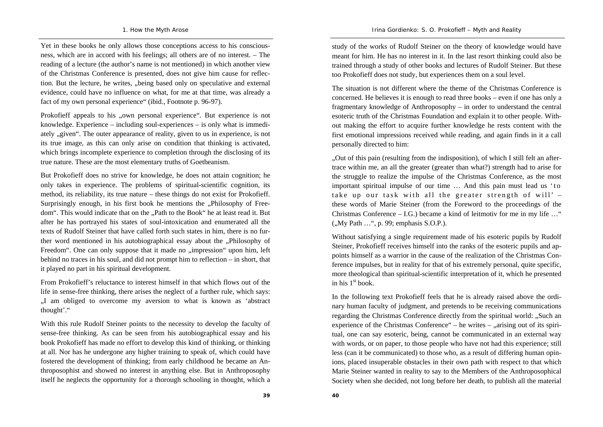Yet in these books he only allows those conceptions access to his consciousness, which are in accord with his feelings; all others are of no interest. – The reading of a lecture (the author's name is not mentioned) in which another view of the Christmas Conference is presented, does not give him cause for reflection. But the lecture, he writes, "being based only on speculative and external evidence, could have no influence on what, for me at that time, was already a fact of my own personal experience" (ibid., Footnote p. 96-97).

Prokofieff appeals to his "own personal experience". But experience is not knowledge. Experience – including soul-experiences – is only what is immediately "given". The outer appearance of reality, given to us in experience, is not its true image, as this can only arise on condition that thinking is activated, which brings incomplete experience to completion through the disclosing of its true nature. These are the most elementary truths of Goetheanism.

But Prokofieff does no strive for knowledge, he does not attain cognition; he only takes in experience. The problems of spiritual-scientific cognition, its method, its reliability, its true nature – these things do not exist for Prokofieff. Surprisingly enough, in his first book he mentions the "Philosophy of Freedom". This would indicate that on the "Path to the Book" he at least read it. But after he has portrayed his states of soul-intoxication and enumerated all the texts of Rudolf Steiner that have called forth such states in him, there is no further word mentioned in his autobiographical essay about the ...Philosophy of Freedom". One can only suppose that it made no "impression" upon him, left behind no traces in his soul, and did not prompt him to reflection – in short, that it played no part in his spiritual development.

From Prokofieff's reluctance to interest himself in that which flows out of the life in sense-free thinking, there arises the neglect of a further rule, which says: "I am obliged to overcome my aversion to what is known as 'abstract thought'."

With this rule Rudolf Steiner points to the necessity to develop the faculty of sense-free thinking. As can be seen from his autobiographical essay and his book Prokofieff has made no effort to develop this kind of thinking, or thinking at all. Nor has he undergone any higher training to speak of, which could have fostered the development of thinking; from early childhood he became an Anthroposophist and showed no interest in anything else. But in Anthroposophy itself he neglects the opportunity for a thorough schooling in thought, which a

study of the works of Rudolf Steiner on the theory of knowledge would have meant for him. He has no interest in it. In the last resort thinking could also be trained through a study of other books and lectures of Rudolf Steiner. But these

too Prokofieff does not study, but experiences them on a soul level.

The situation is not different where the theme of the Christmas Conference is concerned. He believes it is enough to read three books – even if one has only a fragmentary knowledge of Anthroposophy – in order to understand the central esoteric truth of the Christmas Foundation and explain it to other people. Without making the effort to acquire further knowledge he rests content with the first emotional impressions received while reading, and again finds in it a call personally directed to him:

"Out of this pain (resulting from the indisposition), of which I still felt an aftertrace within me, an all the greater (greater than what?) strength had to arise for the struggle to realize the impulse of the Christmas Conference, as the most important spiritual impulse of our time ... And this pain must lead us 'to take up our task with all the greater strength of will'  $$ these words of Marie Steiner (from the Foreword to the proceedings of the Christmas Conference – I.G.) became a kind of leitmotiv for me in my life ..." (..My Path ...", p. 99; emphasis S.O.P.).

Without satisfying a single requirement made of his esoteric pupils by Rudolf Steiner, Prokofieff receives himself into the ranks of the esoteric pupils and appoints himself as a warrior in the cause of the realization of the Christmas Conference impulses, but in reality for that of his extremely personal, quite specific, more theological than spiritual-scientific interpretation of it, which he presented in his  $1<sup>st</sup>$  book.

In the following text Prokofieff feels that he is already raised above the ordinary human faculty of judgment, and pretends to be receiving communications regarding the Christmas Conference directly from the spiritual world: "Such an experience of the Christmas Conference" – he writes  $-$  "arising out of its spiritual, one can say esoteric, being, cannot be communicated in an external way with words, or on paper, to those people who have not had this experience; still less (can it be communicated) to those who, as a result of differing human opinions, placed insuperable obstacles in their own path with respect to that which Marie Steiner wanted in reality to say to the Members of the Anthroposophical Society when she decided, not long before her death, to publish all the material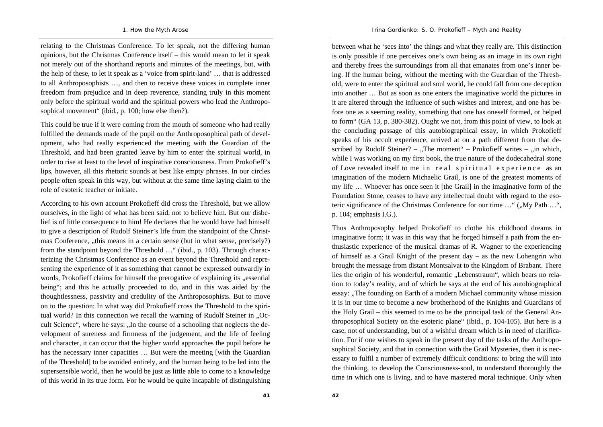relating to the Christmas Conference. To let speak, not the differing human opinions, but the Christmas Conference itself – this would mean to let it speak not merely out of the shorthand reports and minutes of the meetings, but, with the help of these, to let it speak as a 'voice from spirit-land' … that is addressed to all Anthroposophists …, and then to receive these voices in complete inner freedom from prejudice and in deep reverence, standing truly in this moment only before the spiritual world and the spiritual powers who lead the Anthroposophical movement" (ibid., p. 100; how else then?).

This could be true if it were coming from the mouth of someone who had really fulfilled the demands made of the pupil on the Anthroposophical path of development, who had really experienced the meeting with the Guardian of the Threshold, and had been granted leave by him to enter the spiritual world, in order to rise at least to the level of inspirative consciousness. From Prokofieff's lips, however, all this rhetoric sounds at best like empty phrases. In our circles people often speak in this way, but without at the same time laying claim to the role of esoteric teacher or initiate.

According to his own account Prokofieff did cross the Threshold, but we allow ourselves, in the light of what has been said, not to believe him. But our disbelief is of little consequence to him! He declares that he would have had himself to give a description of Rudolf Steiner's life from the standpoint of the Christmas Conference, "this means in a certain sense (but in what sense, precisely?) from the standpoint beyond the Threshold …" (ibid., p. 103). Through characterizing the Christmas Conference as an event beyond the Threshold and representing the experience of it as something that cannot be expressed outwardly in words, Prokofieff claims for himself the prerogative of explaining its "essential being"; and this he actually proceeded to do, and in this was aided by the thoughtlessness, passivity and credulity of the Anthroposophists. But to move on to the question: In what way did Prokofieff cross the Threshold to the spiritual world? In this connection we recall the warning of Rudolf Steiner in ...Occult Science", where he says: "In the course of a schooling that neglects the development of sureness and firmness of the judgement, and the life of feeling and character, it can occur that the higher world approaches the pupil before he has the necessary inner capacities ... But were the meeting [with the Guardian of the Threshold] to be avoided entirely, and the human being to be led into the supersensible world, then he would be just as little able to come to a knowledge of this world in its true form. For he would be quite incapable of distinguishing

between what he 'sees into' the things and what they really are. This distinction is only possible if one perceives one's own being as an image in its own right and thereby frees the surroundings from all that emanates from one's inner being. If the human being, without the meeting with the Guardian of the Threshold, were to enter the spiritual and soul world, he could fall from one deception into another … But as soon as one enters the imaginative world the pictures in it are altered through the influence of such wishes and interest, and one has before one as a seeming reality, something that one has oneself formed, or helped to form" (GA 13, p. 380-382). Ought we not, from this point of view, to look at the concluding passage of this autobiographical essay, in which Prokofieff speaks of his occult experience, arrived at on a path different from that described by Rudolf Steiner? – "The moment" – Prokofieff writes – "in which, while I was working on my first book, the true nature of the dodecahedral stone of Love revealed itself to me in real spiritual experience as an imagination of the modern Michaelic Grail, is one of the greatest moments of my life … Whoever has once seen it [the Grail] in the imaginative form of the Foundation Stone, ceases to have any intellectual doubt with regard to the esoteric significance of the Christmas Conference for our time ..." ("My Path ...", p. 104; emphasis I.G.).

Thus Anthroposophy helped Prokofieff to clothe his childhood dreams in imaginative form; it was in this way that he forged himself a path from the enthusiastic experience of the musical dramas of R. Wagner to the experiencing of himself as a Grail Knight of the present day – as the new Lohengrin who brought the message from distant Montsalvat to the Kingdom of Brabant. There lies the origin of his wonderful, romantic "Lebenstraum", which bears no relation to today's reality, and of which he says at the end of his autobiographical essay: "The founding on Earth of a modern Michael community whose mission it is in our time to become a new brotherhood of the Knights and Guardians of the Holy Grail – this seemed to me to be the principal task of the General Anthroposophical Society on the esoteric plane" (ibid., p. 104-105). But here is a case, not of understanding, but of a wishful dream which is in need of clarification. For if one wishes to speak in the present day of the tasks of the Anthroposophical Society, and that in connection with the Grail Mysteries, then it is necessary to fulfil a number of extremely difficult conditions: to bring the will into the thinking, to develop the Consciousness-soul, to understand thoroughly the time in which one is living, and to have mastered moral technique. Only when